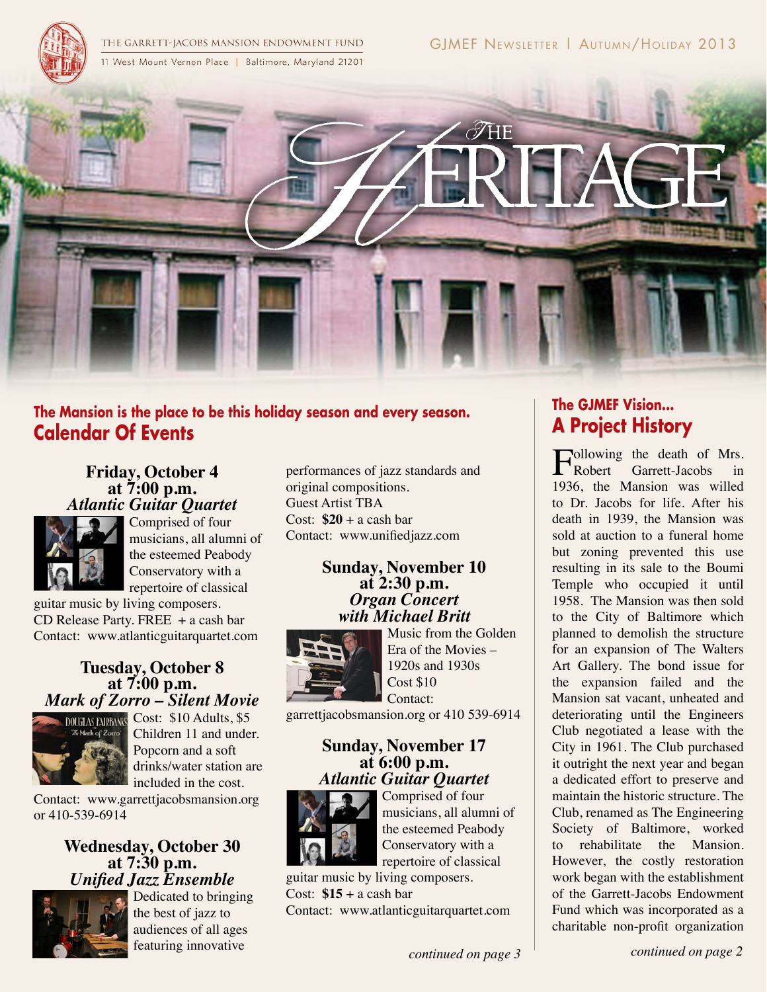

## **The Mansion is the place to be this holiday season and every season. Calendar Of Events**

## **Friday, October 4 at 7:00 p.m.** *Atlantic Guitar Quartet*



Comprised of four musicians, all alumni of the esteemed Peabody Conservatory with a repertoire of classical

guitar music by living composers. CD Release Party. FREE + a cash bar Contact: www.atlanticguitarquartet.com

## **Tuesday, October 8 at 7:00 p.m.** *Mark of Zorro – Silent Movie*



DOUGLAS FAIRBANKS Cost: \$10 Adults, \$5 Children 11 and under. Popcorn and a soft drinks/water station are included in the cost.

Contact: www.garrettjacobsmansion.org or 410-539-6914

## **Wednesday, October 30 at 7:30 p.m.**  *Unified Jazz Ensemble*



Dedicated to bringing the best of jazz to audiences of all ages featuring innovative

performances of jazz standards and original compositions. Guest Artist TBA Cost:  $$20 + a$  cash bar Contact: www.unifiedjazz.com

## **Sunday, November 10 at 2:30 p.m.** *Organ Concert with Michael Britt*



Music from the Golden Era of the Movies – 1920s and 1930s Cost \$10 Contact:

garrettjacobsmansion.org or 410 539-6914

## **Sunday, November 17 at 6:00 p.m.** *Atlantic Guitar Quartet*



Comprised of four musicians, all alumni of the esteemed Peabody Conservatory with a repertoire of classical

guitar music by living composers. Cost:  $$15 + a$  cash bar

Contact: www.atlanticguitarquartet.com

# **The GJMEF Vision... A Project History**

Following the death of Mrs.<br>
Robert Garrett-Jacobs in 1936, the Mansion was willed to Dr. Jacobs for life. After his death in 1939, the Mansion was sold at auction to a funeral home but zoning prevented this use resulting in its sale to the Boumi Temple who occupied it until 1958. The Mansion was then sold to the City of Baltimore which planned to demolish the structure for an expansion of The Walters Art Gallery. The bond issue for the expansion failed and the Mansion sat vacant, unheated and deteriorating until the Engineers Club negotiated a lease with the City in 1961. The Club purchased it outright the next year and began a dedicated effort to preserve and maintain the historic structure. The Club, renamed as The Engineering Society of Baltimore, worked to rehabilitate the Mansion. However, the costly restoration work began with the establishment of the Garrett-Jacobs Endowment Fund which was incorporated as a charitable non-profit organization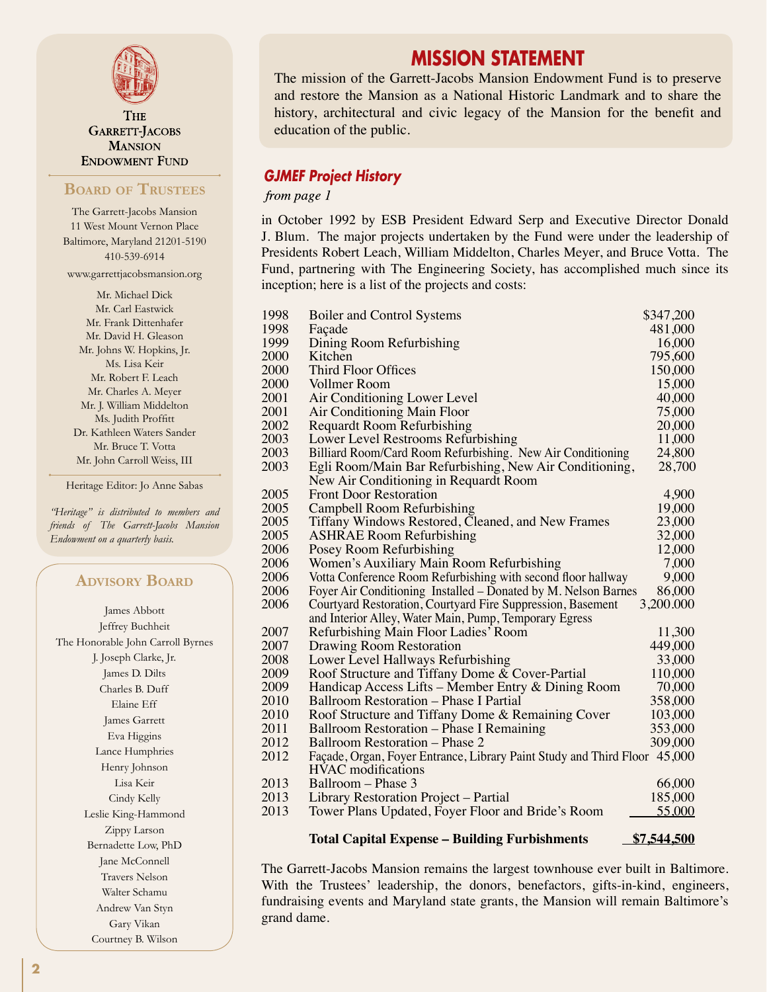

**THE GARRETT-JACOBS MANSION ENDOWMENT FUND** 

## **Board of Trustees**

The Garrett-Jacobs Mansion 11 West Mount Vernon Place Baltimore, Maryland 21201-5190 410-539-6914

www.garrettjacobsmansion.org

Mr. Michael Dick Mr. Carl Eastwick Mr. Frank Dittenhafer Mr. David H. Gleason Mr. Johns W. Hopkins, Jr. Ms. Lisa Keir Mr. Robert F. Leach Mr. Charles A. Meyer Mr. J. William Middelton Ms. Judith Proffitt Dr. Kathleen Waters Sander Mr. Bruce T. Votta Mr. John Carroll Weiss, III

Heritage Editor: Jo Anne Sabas

*"Heritage" is distributed to members and friends of The Garrett-Jacobs Mansion Endowment on a quarterly basis.*

### **Advisory Board**

James Abbott Jeffrey Buchheit The Honorable John Carroll Byrnes J. Joseph Clarke, Jr. James D. Dilts Charles B. Duff Elaine Eff James Garrett Eva Higgins Lance Humphries Henry Johnson Lisa Keir Cindy Kelly Leslie King-Hammond Zippy Larson Bernadette Low, PhD Jane McConnell Travers Nelson Walter Schamu Andrew Van Styn Gary Vikan Courtney B. Wilson

## **MISSION STATEMENT**

The mission of the Garrett-Jacobs Mansion Endowment Fund is to preserve and restore the Mansion as a National Historic Landmark and to share the history, architectural and civic legacy of the Mansion for the benefit and education of the public.

## *GJMEF Project History*

from page 1

in October 1992 by ESB President Edward Serp and Executive Director Donald J. Blum. The major projects undertaken by the Fund were under the leadership of Presidents Robert Leach, William Middelton, Charles Meyer, and Bruce Votta. The Fund, partnering with The Engineering Society, has accomplished much since its inception; here is a list of the projects and costs:

| 1998 | <b>Boiler and Control Systems</b>                                                                                                                                                                                                                                                                                                                  | \$347,200     |
|------|----------------------------------------------------------------------------------------------------------------------------------------------------------------------------------------------------------------------------------------------------------------------------------------------------------------------------------------------------|---------------|
| 1998 | Façade                                                                                                                                                                                                                                                                                                                                             | 481,000       |
| 1999 | Dining Room Refurbishing                                                                                                                                                                                                                                                                                                                           | 16,000        |
| 2000 | Kitchen                                                                                                                                                                                                                                                                                                                                            | 795,600       |
| 2000 | Third Floor Offices                                                                                                                                                                                                                                                                                                                                | 150,000       |
| 2000 | Vollmer Room                                                                                                                                                                                                                                                                                                                                       | 15,000        |
| 2001 | Air Conditioning Lower Level                                                                                                                                                                                                                                                                                                                       | 40,000        |
| 2001 | Air Conditioning Main Floor                                                                                                                                                                                                                                                                                                                        | 75,000        |
| 2002 | Requardt Room Refurbishing                                                                                                                                                                                                                                                                                                                         | 20,000        |
| 2003 | Lower Level Restrooms Refurbishing                                                                                                                                                                                                                                                                                                                 | 11,000        |
| 2003 | Billiard Room/Card Room Refurbishing. New Air Conditioning                                                                                                                                                                                                                                                                                         | 24,800        |
| 2003 | Egli Room/Main Bar Refurbishing, New Air Conditioning,                                                                                                                                                                                                                                                                                             | 28,700        |
|      | New Air Conditioning in Requardt Room                                                                                                                                                                                                                                                                                                              |               |
| 2005 | <b>Front Door Restoration</b>                                                                                                                                                                                                                                                                                                                      | 4,900         |
| 2005 | Campbell Room Refurbishing                                                                                                                                                                                                                                                                                                                         | 19,000        |
| 2005 | Tiffany Windows Restored, Cleaned, and New Frames                                                                                                                                                                                                                                                                                                  | 23,000        |
| 2005 | <b>ASHRAE Room Refurbishing</b>                                                                                                                                                                                                                                                                                                                    | 32,000        |
| 2006 | Posey Room Refurbishing                                                                                                                                                                                                                                                                                                                            | 12,000        |
| 2006 | Women's Auxiliary Main Room Refurbishing                                                                                                                                                                                                                                                                                                           | 7,000         |
| 2006 | Votta Conference Room Refurbishing with second floor hallway                                                                                                                                                                                                                                                                                       | 9,000         |
| 2006 | Foyer Air Conditioning Installed - Donated by M. Nelson Barnes                                                                                                                                                                                                                                                                                     | 86,000        |
| 2006 | Courtyard Restoration, Courtyard Fire Suppression, Basement                                                                                                                                                                                                                                                                                        | 3,200.000     |
|      | and Interior Alley, Water Main, Pump, Temporary Egress                                                                                                                                                                                                                                                                                             |               |
| 2007 | Refurbishing Main Floor Ladies' Room                                                                                                                                                                                                                                                                                                               | 11,300        |
| 2007 | Drawing Room Restoration                                                                                                                                                                                                                                                                                                                           | 449,000       |
| 2008 | Lower Level Hallways Refurbishing                                                                                                                                                                                                                                                                                                                  | 33,000        |
| 2009 | Roof Structure and Tiffany Dome & Cover-Partial                                                                                                                                                                                                                                                                                                    | 110,000       |
| 2009 | Handicap Access Lifts – Member Entry & Dining Room                                                                                                                                                                                                                                                                                                 | 70,000        |
| 2010 | <b>Ballroom Restoration - Phase I Partial</b>                                                                                                                                                                                                                                                                                                      | 358,000       |
| 2010 | Roof Structure and Tiffany Dome & Remaining Cover                                                                                                                                                                                                                                                                                                  | 103,000       |
| 2011 | Ballroom Restoration – Phase I Remaining                                                                                                                                                                                                                                                                                                           | 353,000       |
| 2012 | Ballroom Restoration – Phase 2                                                                                                                                                                                                                                                                                                                     | 309,000       |
| 2012 | Façade, Organ, Foyer Entrance, Library Paint Study and Third Floor 45,000                                                                                                                                                                                                                                                                          |               |
|      | <b>HVAC</b> modifications                                                                                                                                                                                                                                                                                                                          |               |
| 2013 | Ballroom – Phase 3                                                                                                                                                                                                                                                                                                                                 | 66,000        |
| 2013 | Library Restoration Project – Partial                                                                                                                                                                                                                                                                                                              | 185,000       |
| 2013 | Tower Plans Updated, Foyer Floor and Bride's Room                                                                                                                                                                                                                                                                                                  | 55,000        |
|      | $\mathbf{m}$ and $\mathbf{m}$ and $\mathbf{m}$ and $\mathbf{m}$ and $\mathbf{m}$ and $\mathbf{m}$ and $\mathbf{m}$ and $\mathbf{m}$ and $\mathbf{m}$ and $\mathbf{m}$ and $\mathbf{m}$ and $\mathbf{m}$ and $\mathbf{m}$ and $\mathbf{m}$ and $\mathbf{m}$ and $\mathbf{m}$ and $\mathbf{m}$ and<br>$\mathbf{n}$ are $\mathbf{n}$ and $\mathbf{n}$ | $AP = 44 = 0$ |

#### **Total Capital Expense – Building Furbishments \$7,544,500**

The Garrett-Jacobs Mansion remains the largest townhouse ever built in Baltimore. With the Trustees' leadership, the donors, benefactors, gifts-in-kind, engineers, fundraising events and Maryland state grants, the Mansion will remain Baltimore's grand dame.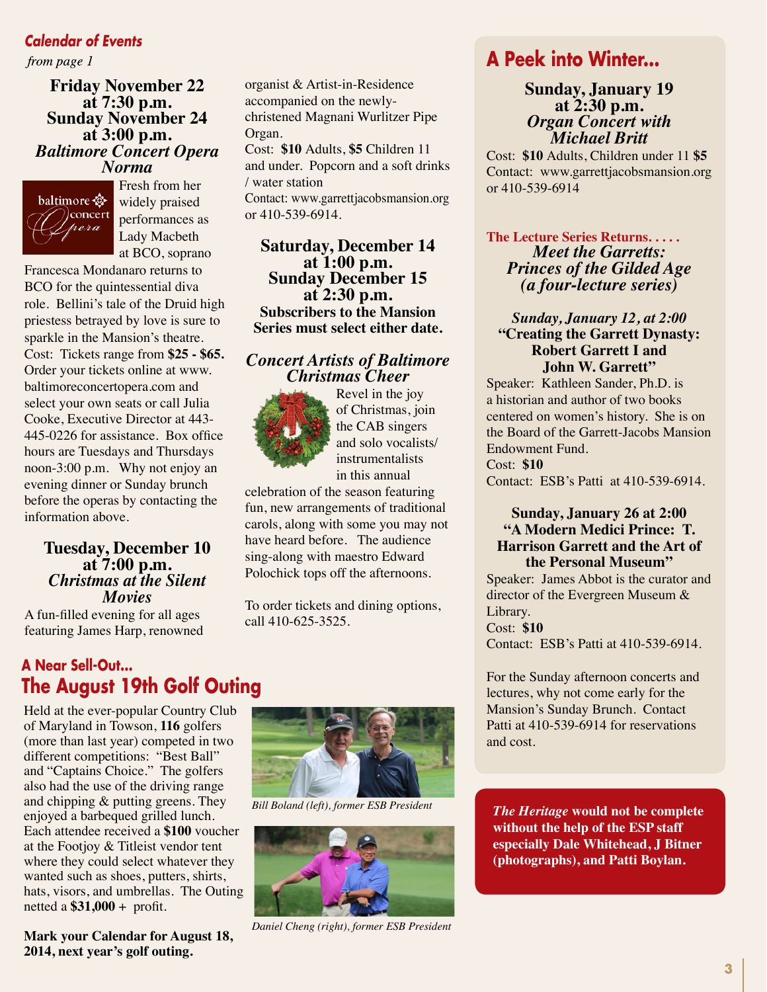## *Calendar of Events*

from page 1

**Friday November 22 at 7:30 p.m. Sunday November 24 at 3:00 p.m.** *Baltimore Concert Opera Norma*



Fresh from her widely praised performances as Lady Macbeth at BCO, soprano

Francesca Mondanaro returns to BCO for the quintessential diva role. Bellini's tale of the Druid high priestess betrayed by love is sure to sparkle in the Mansion's theatre. Cost: Tickets range from **\$25 - \$65.** Order your tickets online at www. baltimoreconcertopera.com and select your own seats or call Julia Cooke, Executive Director at 443- 445-0226 for assistance. Box office hours are Tuesdays and Thursdays noon-3:00 p.m. Why not enjoy an evening dinner or Sunday brunch before the operas by contacting the information above.

## **Tuesday, December 10 at 7:00 p.m.** *Christmas at the Silent Movies*

A fun-filled evening for all ages featuring James Harp, renowned

## **A Near Sell-Out... The August 19th Golf Outing**

Held at the ever-popular Country Club of Maryland in Towson, **116** golfers (more than last year) competed in two different competitions: "Best Ball" and "Captains Choice." The golfers also had the use of the driving range and chipping & putting greens. They enjoyed a barbequed grilled lunch. Each attendee received a **\$100** voucher at the Footjoy & Titleist vendor tent where they could select whatever they wanted such as shoes, putters, shirts, hats, visors, and umbrellas. The Outing netted a **\$31,000** + profit.

**Mark your Calendar for August 18, 2014, next year's golf outing.**

organist & Artist-in-Residence accompanied on the newlychristened Magnani Wurlitzer Pipe Organ. Cost: **\$10** Adults, **\$5** Children 11 and under. Popcorn and a soft drinks / water station

Contact: www.garrettjacobsmansion.org or 410-539-6914.

**Saturday, December 14 at 1:00 p.m. Sunday December 15 at 2:30 p.m. Subscribers to the Mansion Series must select either date.**

## *Concert Artists of Baltimore Christmas Cheer*



Revel in the joy of Christmas, join the CAB singers and solo vocalists/ instrumentalists in this annual

celebration of the season featuring fun, new arrangements of traditional carols, along with some you may not have heard before. The audience sing-along with maestro Edward Polochick tops off the afternoons.

To order tickets and dining options, call 410-625-3525.

# **A Peek into Winter...**

**Sunday, January 19 at 2:30 p.m.** *Organ Concert with Michael Britt*

Cost: **\$10** Adults, Children under 11 **\$5** Contact: www.garrettjacobsmansion.org or 410-539-6914

**The Lecture Series Returns. . . . .** *Meet the Garretts: Princes of the Gilded Age (a four-lecture series)*

## *Sunday, January 12, at 2:00* **"Creating the Garrett Dynasty: Robert Garrett I and John W. Garrett"**

Speaker: Kathleen Sander, Ph.D. is a historian and author of two books centered on women's history. She is on the Board of the Garrett-Jacobs Mansion Endowment Fund.

Cost: **\$10** Contact: ESB's Patti at 410-539-6914.

#### **Sunday, January 26 at 2:00 "A Modern Medici Prince: T. Harrison Garrett and the Art of the Personal Museum"**

Speaker: James Abbot is the curator and director of the Evergreen Museum & Library.

Cost: **\$10** Contact: ESB's Patti at 410-539-6914.

For the Sunday afternoon concerts and lectures, why not come early for the Mansion's Sunday Brunch. Contact Patti at 410-539-6914 for reservations and cost.

*The Heritage* **would not be complete without the help of the ESP staff especially Dale Whitehead, J Bitner (photographs), and Patti Boylan.**



*Bill Boland (left), former ESB President*



*Daniel Cheng (right), former ESB President*